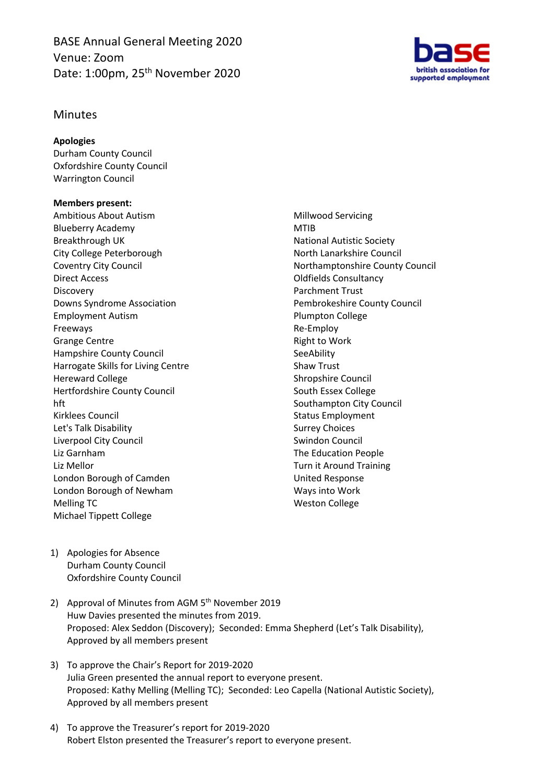BASE Annual General Meeting 2020 Venue: Zoom Date: 1:00pm, 25<sup>th</sup> November 2020



## Minutes

## **Apologies**

Durham County Council Oxfordshire County Council Warrington Council

## **Members present:**

Ambitious About Autism Blueberry Academy Breakthrough UK City College Peterborough Coventry City Council Direct Access Discovery Downs Syndrome Association Employment Autism Freeways Grange Centre Hampshire County Council Harrogate Skills for Living Centre Hereward College Hertfordshire County Council hft Kirklees Council Let's Talk Disability Liverpool City Council Liz Garnham Liz Mellor London Borough of Camden London Borough of Newham Melling TC Michael Tippett College

Millwood Servicing MTIB National Autistic Society North Lanarkshire Council Northamptonshire County Council Oldfields Consultancy Parchment Trust Pembrokeshire County Council Plumpton College Re-Employ Right to Work **SeeAbility** Shaw Trust Shropshire Council South Essex College Southampton City Council Status Employment Surrey Choices Swindon Council The Education People Turn it Around Training United Response Ways into Work Weston College

- 1) Apologies for Absence Durham County Council Oxfordshire County Council
- 2) Approval of Minutes from AGM 5<sup>th</sup> November 2019 Huw Davies presented the minutes from 2019. Proposed: Alex Seddon (Discovery); Seconded: Emma Shepherd (Let's Talk Disability), Approved by all members present
- 3) To approve the Chair's Report for 2019-2020 Julia Green presented the annual report to everyone present. Proposed: Kathy Melling (Melling TC); Seconded: Leo Capella (National Autistic Society), Approved by all members present
- 4) To approve the Treasurer's report for 2019-2020 Robert Elston presented the Treasurer's report to everyone present.